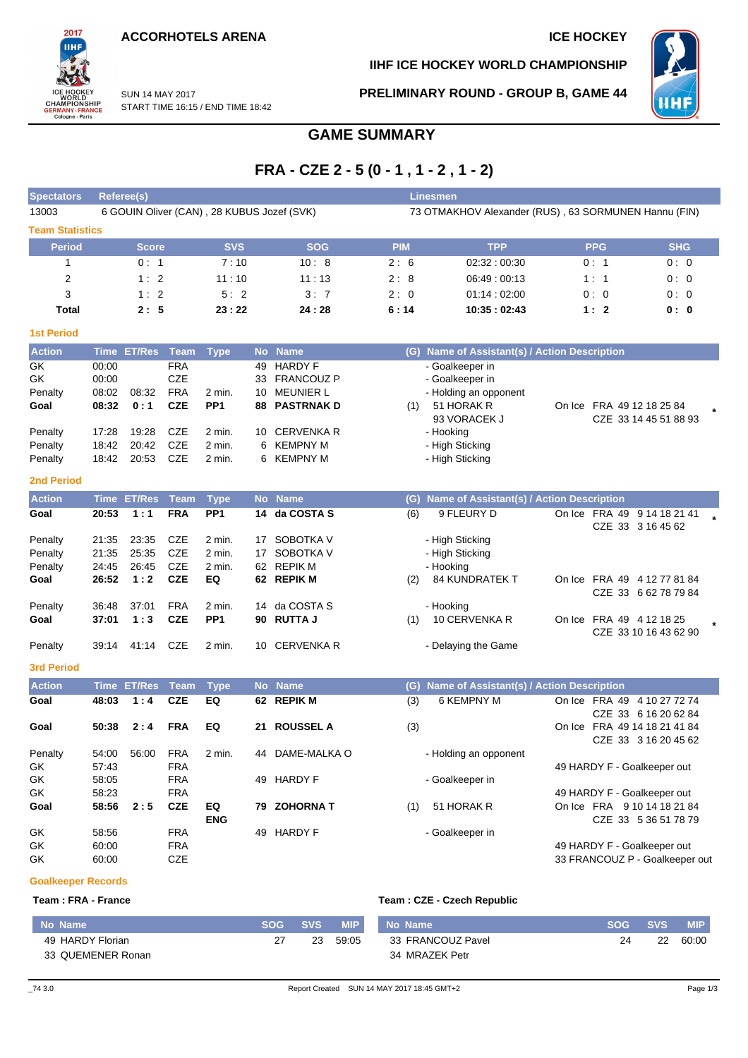

**IIHF ICE HOCKEY WORLD CHAMPIONSHIP**

**PRELIMINARY ROUND - GROUP B, GAME 44**



SUN 14 MAY 2017 START TIME 16:15 / END TIME 18:42

### **GAME SUMMARY**

# **FRA - CZE 2 - 5 (0 - 1 , 1 - 2 , 1 - 2)**

| <b>Spectators</b>      |       | Referee(s)         |             |                                            |    |                   |            | <b>Linesmen</b>                                      |                                |                       |
|------------------------|-------|--------------------|-------------|--------------------------------------------|----|-------------------|------------|------------------------------------------------------|--------------------------------|-----------------------|
| 13003                  |       |                    |             | 6 GOUIN Oliver (CAN), 28 KUBUS Jozef (SVK) |    |                   |            | 73 OTMAKHOV Alexander (RUS), 63 SORMUNEN Hannu (FIN) |                                |                       |
| <b>Team Statistics</b> |       |                    |             |                                            |    |                   |            |                                                      |                                |                       |
| <b>Period</b>          |       | <b>Score</b>       |             | <b>SVS</b>                                 |    | <b>SOG</b>        | <b>PIM</b> | <b>TPP</b>                                           | <b>PPG</b>                     | <b>SHG</b>            |
| 1                      |       | 0:1                |             | 7:10                                       |    | 10:8              | 2:6        | 02:32:00:30                                          | 0:1                            | 0:0                   |
| 2                      |       | 1:2                |             | 11:10                                      |    | 11:13             | 2:8        | 06:49:00:13                                          | 1:1                            | 0:0                   |
| 3                      |       | 1:2                |             | 5:2                                        |    | 3:7               | 2:0        | 01:14:02:00                                          | 0:0                            | 0:0                   |
| Total                  |       | 2:5                |             | 23:22                                      |    | 24:28             | 6:14       | 10:35:02:43                                          | 1:2                            | 0: 0                  |
|                        |       |                    |             |                                            |    |                   |            |                                                      |                                |                       |
| <b>1st Period</b>      |       |                    |             |                                            |    |                   |            |                                                      |                                |                       |
| <b>Action</b>          |       | Time ET/Res        | Team        | <b>Type</b>                                |    | No Name           |            | (G) Name of Assistant(s) / Action Description        |                                |                       |
| GK                     | 00:00 |                    | <b>FRA</b>  |                                            | 49 | <b>HARDY F</b>    |            | - Goalkeeper in                                      |                                |                       |
| GK                     | 00:00 |                    | <b>CZE</b>  |                                            | 33 | <b>FRANCOUZ P</b> |            | - Goalkeeper in                                      |                                |                       |
| Penalty                | 08:02 | 08:32              | <b>FRA</b>  | 2 min.                                     | 10 | <b>MEUNIER L</b>  |            | - Holding an opponent                                |                                |                       |
| Goal                   | 08:32 | 0:1                | <b>CZE</b>  | PP <sub>1</sub>                            | 88 | <b>PASTRNAKD</b>  | (1)        | 51 HORAK R                                           | On Ice FRA 49 12 18 25 84      |                       |
|                        |       |                    |             |                                            |    |                   |            | 93 VORACEK J                                         |                                | CZE 33 14 45 51 88 93 |
| Penalty                | 17:28 | 19:28              | <b>CZE</b>  | 2 min.                                     | 10 | <b>CERVENKA R</b> |            | - Hooking                                            |                                |                       |
| Penalty                | 18:42 | 20:42              | <b>CZE</b>  | 2 min.                                     | 6  | <b>KEMPNY M</b>   |            | - High Sticking                                      |                                |                       |
| Penalty                | 18:42 | 20:53              | <b>CZE</b>  | 2 min.                                     | 6  | <b>KEMPNY M</b>   |            | - High Sticking                                      |                                |                       |
| <b>2nd Period</b>      |       |                    |             |                                            |    |                   |            |                                                      |                                |                       |
| <b>Action</b>          |       | <b>Time ET/Res</b> | Team        | <b>Type</b>                                |    | No Name           | (G)        | Name of Assistant(s) / Action Description            |                                |                       |
| Goal                   | 20:53 | 1:1                | <b>FRA</b>  | PP <sub>1</sub>                            |    | 14 da COSTA S     | (6)        | 9 FLEURY D                                           | On Ice FRA 49 9 14 18 21 41    |                       |
|                        |       |                    |             |                                            |    |                   |            |                                                      |                                | CZE 33 3 16 45 62     |
| Penalty                | 21:35 | 23:35              | <b>CZE</b>  | 2 min.                                     | 17 | SOBOTKA V         |            | - High Sticking                                      |                                |                       |
| Penalty                | 21:35 | 25:35              | <b>CZE</b>  | 2 min.                                     | 17 | SOBOTKA V         |            | - High Sticking                                      |                                |                       |
| Penalty                | 24:45 | 26:45              | <b>CZE</b>  | 2 min.                                     | 62 | <b>REPIK M</b>    |            | - Hooking                                            |                                |                       |
| Goal                   | 26:52 | 1:2                | <b>CZE</b>  | EQ                                         |    | 62 REPIK M        | (2)        | <b>84 KUNDRATEK T</b>                                | On Ice FRA 49 4 12 77 81 84    |                       |
|                        |       |                    |             |                                            |    |                   |            |                                                      |                                | CZE 33 6 62 78 79 84  |
| Penalty                | 36:48 | 37:01              | <b>FRA</b>  | 2 min.                                     | 14 | da COSTA S        |            | - Hooking                                            |                                |                       |
| Goal                   | 37:01 | 1:3                | <b>CZE</b>  | PP <sub>1</sub>                            |    | 90 RUTTA J        | (1)        | 10 CERVENKA R                                        | On Ice FRA 49 4 12 18 25       | $\star$               |
|                        |       |                    |             |                                            |    |                   |            |                                                      |                                | CZE 33 10 16 43 62 90 |
| Penalty                | 39:14 | 41:14              | <b>CZE</b>  | 2 min.                                     | 10 | CERVENKA R        |            | - Delaying the Game                                  |                                |                       |
| <b>3rd Period</b>      |       |                    |             |                                            |    |                   |            |                                                      |                                |                       |
| <b>Action</b>          |       | <b>Time ET/Res</b> | <b>Team</b> | <b>Type</b>                                |    | No Name           | (G)        | Name of Assistant(s) / Action Description            |                                |                       |
| Goal                   | 48:03 | 1:4                | <b>CZE</b>  | EQ                                         |    | 62 REPIK M        | (3)        | 6 KEMPNY M                                           | On Ice FRA 49 4 10 27 72 74    |                       |
|                        |       |                    |             |                                            |    |                   |            |                                                      |                                | CZE 33 6 16 20 62 84  |
| Goal                   | 50:38 | 2:4                | <b>FRA</b>  | EQ                                         |    | 21 ROUSSEL A      | (3)        |                                                      | On Ice FRA 49 14 18 21 41 84   |                       |
|                        |       |                    |             |                                            |    |                   |            |                                                      |                                | CZE 33 3 16 20 45 62  |
| Penalty                | 54:00 | 56:00              | FRA         | 2 min.                                     |    | 44 DAME-MALKA O   |            | - Holding an opponent                                |                                |                       |
| GK                     | 57:43 |                    | <b>FRA</b>  |                                            |    |                   |            |                                                      | 49 HARDY F - Goalkeeper out    |                       |
| GK                     | 58:05 |                    | <b>FRA</b>  |                                            |    | 49 HARDY F        |            | - Goalkeeper in                                      |                                |                       |
| GK                     | 58:23 |                    | <b>FRA</b>  |                                            |    |                   |            |                                                      | 49 HARDY F - Goalkeeper out    |                       |
| Goal                   | 58:56 | 2:5                | <b>CZE</b>  | EQ                                         |    | 79 ZOHORNA T      | (1)        | 51 HORAK R                                           | On Ice FRA 9 10 14 18 21 84    |                       |
|                        |       |                    |             | <b>ENG</b>                                 |    |                   |            |                                                      |                                | CZE 33 5 36 51 78 79  |
| GK                     | 58:56 |                    | <b>FRA</b>  |                                            |    | 49 HARDY F        |            | - Goalkeeper in                                      |                                |                       |
| GK                     | 60:00 |                    | <b>FRA</b>  |                                            |    |                   |            |                                                      | 49 HARDY F - Goalkeeper out    |                       |
| GK                     | 60:00 |                    | CZE         |                                            |    |                   |            |                                                      | 33 FRANCOUZ P - Goalkeeper out |                       |

#### **Goalkeeper Records**

#### **Team : FRA - France Team : CZE - Czech Republic**

| No Name           | SOG SVS |    | <b>MIP</b> | No Name           | SOG – | <b>SVS</b> | <b>MIP</b> |
|-------------------|---------|----|------------|-------------------|-------|------------|------------|
| 49 HARDY Florian  | 27      | 23 | 59:05      | 33 FRANCOUZ Pavel | 24    | 22         | 60:00      |
| 33 QUEMENER Ronan |         |    |            | 34 MRAZEK Petr    |       |            |            |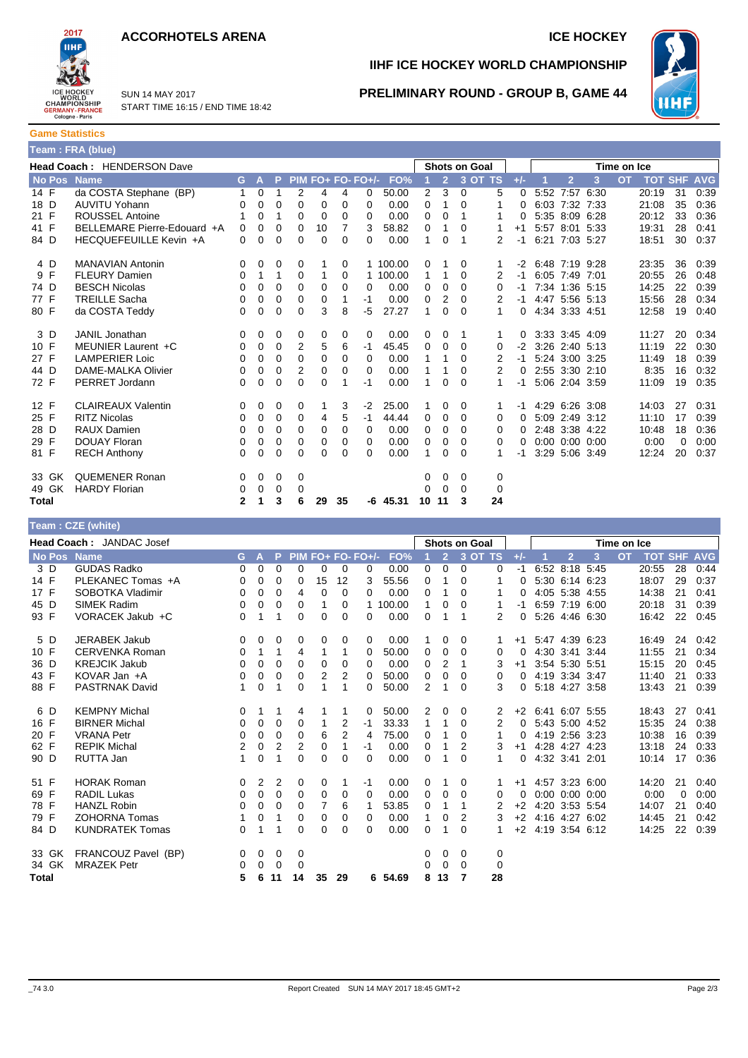



SUN 14 MAY 2017 START TIME 16:15 / END TIME 18:42

### **IIHF ICE HOCKEY WORLD CHAMPIONSHIP**



#### **PRELIMINARY ROUND - GROUP B, GAME 44**

**Game Statistics Team : FRA (blue)**

|             | Head Coach: HENDERSON Dave  |              |          |             |          |    |    |                   |            |    |                | <b>Shots on Goal</b> |         |       |                |                |                | Time on Ice |                |    |            |
|-------------|-----------------------------|--------------|----------|-------------|----------|----|----|-------------------|------------|----|----------------|----------------------|---------|-------|----------------|----------------|----------------|-------------|----------------|----|------------|
| No Pos Name |                             | G.           | A        | P           |          |    |    | PIM FO+ FO- FO+/- | FO%        |    | $\overline{2}$ |                      | 3 OT TS | $+/-$ |                | $\overline{2}$ | 3              | <b>OT</b>   | <b>TOT SHF</b> |    | <b>AVG</b> |
| 14 F        | da COSTA Stephane (BP)      | 1            | 0        |             | 2        | 4  | 4  | 0                 | 50.00      | 2  | 3              | 0                    | 5       |       |                | 5:52 7:57 6:30 |                |             | 20:19          | 31 | 0:39       |
| 18 D        | <b>AUVITU Yohann</b>        | 0            | 0        | 0           | 0        | 0  | 0  | 0                 | 0.00       | 0  |                | 0                    |         |       | 6:03           |                | 7:32 7:33      |             | 21:08          | 35 | 0:36       |
| 21 F        | <b>ROUSSEL Antoine</b>      |              | 0        |             | 0        | 0  | 0  | 0                 | 0.00       | 0  | 0              |                      | 1       |       |                | 5:35 8:09 6:28 |                |             | 20:12          | 33 | 0:36       |
| 41 F        | BELLEMARE Pierre-Edouard +A | 0            | 0        | 0           | 0        | 10 | 7  | 3                 | 58.82      | 0  |                | 0                    |         | $+1$  |                |                | 5:57 8:01 5:33 |             | 19:31          | 28 | 0:41       |
| 84 D        | HECQUEFEUILLE Kevin +A      | 0            | $\Omega$ | 0           | $\Omega$ | 0  | 0  | 0                 | 0.00       | 1  | 0              |                      | 2       | -1    |                | 6:21 7:03 5:27 |                |             | 18:51          | 30 | 0:37       |
| 4 D         | <b>MANAVIAN Antonin</b>     | 0            | 0        | 0           | 0        | 1  | 0  |                   | 1 100.00   | 0  |                | 0                    |         | -2    | 6:48 7:19 9:28 |                |                |             | 23:35          | 36 | 0:39       |
| 9 F         | <b>FLEURY Damien</b>        | 0            |          | 1           | 0        | 1  | 0  |                   | 1 100.00   | 1  |                | 0                    | 2       | -1    | 6:05           | 7:49 7:01      |                |             | 20:55          | 26 | 0:48       |
| 74 D        | <b>BESCH Nicolas</b>        | 0            | $\Omega$ | 0           | 0        | 0  | 0  | 0                 | 0.00       | 0  | 0              | $\Omega$             | 0       | -1    |                |                | 7:34 1:36 5:15 |             | 14:25          | 22 | 0:39       |
| 77 F        | <b>TREILLE Sacha</b>        | 0            | 0        | 0           | 0        | 0  |    | $-1$              | 0.00       | 0  | 2              | $\Omega$             | 2       | -1    |                |                | 4:47 5:56 5:13 |             | 15:56          | 28 | 0:34       |
| 80 F        | da COSTA Teddy              | 0            | 0        | $\Omega$    | 0        | 3  | 8  | -5                | 27.27      | 1  | 0              | $\Omega$             | 1       | 0     |                | 4:34 3:33 4:51 |                |             | 12:58          | 19 | 0:40       |
| 3 D         | <b>JANIL Jonathan</b>       | 0            | 0        | 0           | 0        | 0  | 0  | 0                 | 0.00       | 0  | 0              | 1                    | 1       | 0     |                |                | 3:33 3:45 4:09 |             | 11:27          | 20 | 0:34       |
| 10 F        | MEUNIER Laurent +C          | 0            | 0        | $\mathbf 0$ | 2        | 5  | 6  | $-1$              | 45.45      | 0  | 0              | 0                    | 0       | $-2$  |                |                | 3:26 2:40 5:13 |             | 11:19          | 22 | 0:30       |
| 27 F        | <b>LAMPERIER Loic</b>       | 0            | 0        | 0           | $\Omega$ | 0  | 0  | 0                 | 0.00       | 1  |                | 0                    | 2       | -1    |                |                | 5:24 3:00 3:25 |             | 11:49          | 18 | 0:39       |
| 44 D        | DAME-MALKA Olivier          | 0            | 0        | 0           | 2        | 0  | 0  | 0                 | 0.00       | 1  |                | 0                    | 2       | 0     |                |                | 2:55 3:30 2:10 |             | 8:35           | 16 | 0:32       |
| 72 F        | PERRET Jordann              | 0            | $\Omega$ | $\Omega$    | $\Omega$ | 0  |    | -1                | 0.00       | 1  | 0              | $\Omega$             | 1       | -1    |                |                | 5:06 2:04 3:59 |             | 11:09          | 19 | 0:35       |
| 12 F        | <b>CLAIREAUX Valentin</b>   | 0            | 0        | 0           | 0        | 1  | 3  | $-2$              | 25.00      |    | 0              | 0                    | 1       | -1    | 4:29           |                | 6:26 3:08      |             | 14:03          | 27 | 0:31       |
| 25 F        | <b>RITZ Nicolas</b>         | 0            | 0        | 0           | 0        | 4  | 5  | $-1$              | 44.44      | 0  | 0              | 0                    | 0       | 0     | 5:09           |                | 2:49 3:12      |             | 11:10          | 17 | 0:39       |
| 28 D        | <b>RAUX Damien</b>          | 0            | 0        | 0           | 0        | 0  | 0  | 0                 | 0.00       | 0  | 0              | $\Omega$             | 0       | 0     |                | 2:48 3:38 4:22 |                |             | 10:48          | 18 | 0:36       |
| 29 F        | <b>DOUAY Floran</b>         | 0            | 0        | 0           | 0        | 0  | 0  | 0                 | 0.00       | 0  | 0              | 0                    | 0       |       | 0:00           |                | $0:00$ $0:00$  |             | 0:00           | 0  | 0:00       |
| 81 F        | <b>RECH Anthony</b>         | 0            | $\Omega$ | $\Omega$    | 0        | 0  | 0  | 0                 | 0.00       | 1  | 0              | $\Omega$             |         | -1    |                |                | 3:29 5:06 3:49 |             | 12:24          | 20 | 0:37       |
| 33 GK       | <b>QUEMENER Ronan</b>       | 0            | 0        | 0           | 0        |    |    |                   |            | 0  | 0              | 0                    | 0       |       |                |                |                |             |                |    |            |
| 49 GK       | <b>HARDY Florian</b>        | 0            | 0        | 0           | 0        |    |    |                   |            | 0  | 0              | $\Omega$             | 0       |       |                |                |                |             |                |    |            |
| Total       |                             | $\mathbf{2}$ |          | 3           | 6        | 29 | 35 |                   | $-6$ 45.31 | 10 | 11             | 3                    | 24      |       |                |                |                |             |                |    |            |

| Team : CZE (white) |  |  |
|--------------------|--|--|
|--------------------|--|--|

|              | <b>Head Coach: JANDAC Josef</b> |          |   |          |          |    |          |                   |          |          |                | <b>Shots on Goal</b> |         |       |                     |                      |   | Time on Ice |                |          |            |
|--------------|---------------------------------|----------|---|----------|----------|----|----------|-------------------|----------|----------|----------------|----------------------|---------|-------|---------------------|----------------------|---|-------------|----------------|----------|------------|
| No Pos Name  |                                 | G.       | A | P        |          |    |          | PIM FO+ FO- FO+/- | FO%      |          | $\overline{2}$ |                      | 3 OT TS | $+/-$ |                     | $\overline{2}$       | 3 | <b>OT</b>   | <b>TOT SHF</b> |          | <b>AVG</b> |
| 3 D          | <b>GUDAS Radko</b>              | 0        | 0 | 0        | 0        | 0  | $\Omega$ | 0                 | 0.00     | 0        | $\mathbf 0$    | 0                    | 0       | $-1$  |                     | 6:52 8:18 5:45       |   |             | 20:55          | 28       | 0:44       |
| 14 F         | PLEKANEC Tomas +A               | 0        | 0 | 0        | 0        | 15 | 12       | 3                 | 55.56    | 0        |                | 0                    |         | 0     |                     | 5:30 6:14 6:23       |   |             | 18:07          | 29       | 0:37       |
| 17 F         | SOBOTKA Vladimir                | 0        | 0 | 0        | 4        | 0  | $\Omega$ | 0                 | 0.00     | 0        | 1              | 0                    |         | 0     |                     | 4:05 5:38 4:55       |   |             | 14:38          | 21       | 0:41       |
| 45 D         | SIMEK Radim                     | 0        | 0 | 0        | 0        | 1  | 0        |                   | 1 100.00 | 1        | 0              | 0                    |         | -1    |                     | 6:59 7:19 6:00       |   |             | 20:18          | 31       | 0:39       |
| 93 F         | VORACEK Jakub +C                | 0        | 1 | 1        | 0        | 0  | $\Omega$ | 0                 | 0.00     | 0        | 1              | 1                    | 2       | 0     |                     | 5:26 4:46 6:30       |   |             | 16:42          | 22       | 0:45       |
| 5 D          | <b>JERABEK Jakub</b>            | 0        | 0 | 0        | 0        | 0  | 0        | 0                 | 0.00     |          | 0              | 0                    |         | $+1$  |                     | 5:47 4:39 6:23       |   |             | 16:49          | 24       | 0:42       |
| 10 F         | CERVENKA Roman                  | 0        | 1 | 1        | 4        | 1  | 1        | $\Omega$          | 50.00    | 0        | 0              | $\Omega$             | 0       | 0     |                     | 4:30 3:41 3:44       |   |             | 11:55          | 21       | 0:34       |
| 36 D         | <b>KREJCIK Jakub</b>            | 0        | 0 | $\Omega$ | $\Omega$ | 0  | 0        | 0                 | 0.00     | 0        | 2              | 1                    | 3       | $+1$  |                     | 3:54 5:30 5:51       |   |             | 15:15          | 20       | 0:45       |
| 43 F         | KOVAR Jan +A                    | 0        | 0 | 0        | 0        | 2  | 2        | $\Omega$          | 50.00    | 0        | 0              | $\Omega$             | 0       | 0     |                     | 4:19 3:34 3:47       |   |             | 11:40          | 21       | 0:33       |
| 88 F         | <b>PASTRNAK David</b>           | 1        | 0 | 1        | 0        | 1  | 1        | 0                 | 50.00    | 2        | 1              | 0                    | 3       | 0     |                     | 5:18 4:27 3:58       |   |             | 13:43          | 21       | 0:39       |
| 6 D          | <b>KEMPNY Michal</b>            | 0        | 1 | 1        | 4        | 1  | 1        | 0                 | 50.00    | 2        | 0              | 0                    | 2       |       | $+2$ 6:41 6:07 5:55 |                      |   |             | 18:43          | 27       | 0:41       |
| 16 F         | <b>BIRNER Michal</b>            | 0        | 0 | 0        | 0        | 1  | 2        | $-1$              | 33.33    | 1        | 1              | 0                    | 2       | 0     |                     | 5:43 5:00 4:52       |   |             | 15:35          | 24       | 0:38       |
| 20 F         | <b>VRANA Petr</b>               | 0        | 0 | 0        | 0        | 6  | 2        | 4                 | 75.00    | 0        | 1              | 0                    | 1       | 0     |                     | 4:19 2:56 3:23       |   |             | 10:38          | 16       | 0:39       |
| 62 F         | <b>REPIK Michal</b>             | 2        | 0 | 2        | 2        | 0  |          | -1                | 0.00     | 0        | 1              | 2                    | 3       | $+1$  |                     | 4:28 4:27 4:23       |   |             | 13:18          | 24       | 0:33       |
| 90 D         | RUTTA Jan                       | 1        | 0 | 1        | 0        | 0  | $\Omega$ | $\Omega$          | 0.00     | $\Omega$ | 1              | $\Omega$             | 1       | 0     |                     | 4:32 3:41 2:01       |   |             | 10:14          | 17       | 0:36       |
| 51 F         | <b>HORAK Roman</b>              | 0        | 2 | 2        | 0        | 0  | 1        | -1                | 0.00     | 0        |                | 0                    |         | $+1$  |                     | 4:57 3:23 6:00       |   |             | 14:20          | 21       | 0:40       |
| 69 F         | <b>RADIL Lukas</b>              | 0        | 0 | 0        | 0        | 0  | $\Omega$ | $\Omega$          | 0.00     | 0        | $\Omega$       | 0                    | 0       | 0     |                     | $0:00$ $0:00$ $0:00$ |   |             | 0:00           | $\Omega$ | 0:00       |
| 78 F         | <b>HANZL Robin</b>              | 0        | 0 | 0        | 0        | 7  | 6        |                   | 53.85    | 0        | 1              | 1                    |         | $+2$  |                     | 4:20 3:53 5:54       |   |             | 14:07          | 21       | 0:40       |
| 79 F         | <b>ZOHORNA Tomas</b>            | 1        | 0 |          | 0        | 0  | 0        | 0                 | 0.00     | 1        | 0              | $\overline{2}$       | 3       | $+2$  |                     | 4:16 4:27 6:02       |   |             | 14:45          | 21       | 0:42       |
| 84 D         | <b>KUNDRATEK Tomas</b>          | $\Omega$ |   |          | 0        | 0  | 0        | 0                 | 0.00     | 0        | 1              | $\Omega$             |         | $+2$  | 4:19 3:54 6:12      |                      |   |             | 14:25          | 22       | 0:39       |
| 33 GK        | FRANCOUZ Pavel (BP)             | 0        | 0 | 0        | 0        |    |          |                   |          | 0        | 0              | 0                    | 0       |       |                     |                      |   |             |                |          |            |
| 34 GK        | <b>MRAZEK Petr</b>              | 0        | 0 | 0        | 0        |    |          |                   |          | 0        | 0              | $\Omega$             | 0       |       |                     |                      |   |             |                |          |            |
| <b>Total</b> |                                 | 5        | 6 | 11       | 14       | 35 | 29       |                   | 6 54.69  | 8        | 13             | 7                    | 28      |       |                     |                      |   |             |                |          |            |